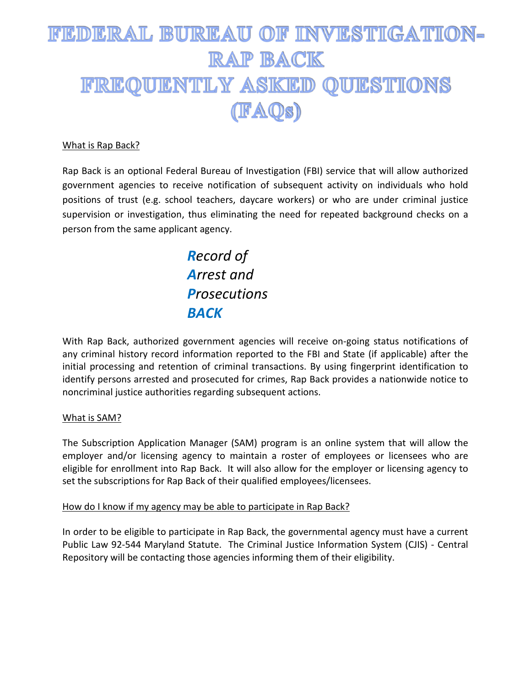# FEDERAL BUREAU OF INVESTIGATION-**RAP BACK** FREQUENTLY ASKED QUESTIONS (FAQS)

# What is Rap Back?

Rap Back is an optional Federal Bureau of Investigation (FBI) service that will allow authorized government agencies to receive notification of subsequent activity on individuals who hold positions of trust (e.g. school teachers, daycare workers) or who are under criminal justice supervision or investigation, thus eliminating the need for repeated background checks on a person from the same applicant agency.

# *Record of Arrest and Prosecutions BACK*

With Rap Back, authorized government agencies will receive on-going status notifications of any criminal history record information reported to the FBI and State (if applicable) after the initial processing and retention of criminal transactions. By using fingerprint identification to identify persons arrested and prosecuted for crimes, Rap Back provides a nationwide notice to noncriminal justice authorities regarding subsequent actions.

### What is SAM?

The Subscription Application Manager (SAM) program is an online system that will allow the employer and/or licensing agency to maintain a roster of employees or licensees who are eligible for enrollment into Rap Back. It will also allow for the employer or licensing agency to set the subscriptions for Rap Back of their qualified employees/licensees.

#### How do I know if my agency may be able to participate in Rap Back?

In order to be eligible to participate in Rap Back, the governmental agency must have a current Public Law 92-544 Maryland Statute. The Criminal Justice Information System (CJIS) - Central Repository will be contacting those agencies informing them of their eligibility.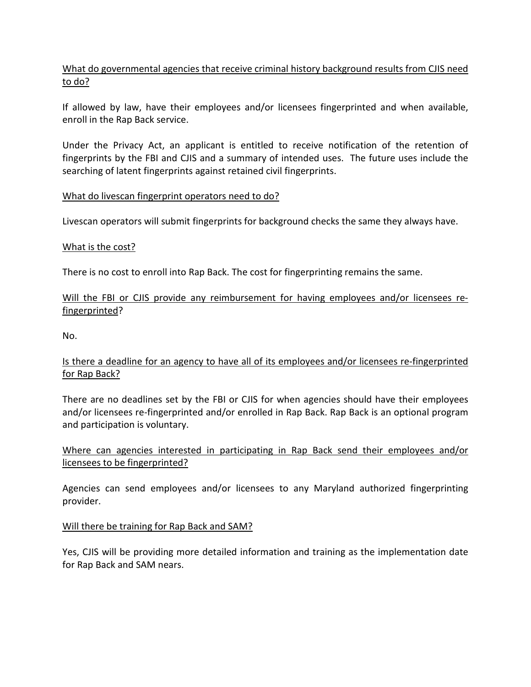# What do governmental agencies that receive criminal history background results from CJIS need to do?

If allowed by law, have their employees and/or licensees fingerprinted and when available, enroll in the Rap Back service.

Under the Privacy Act, an applicant is entitled to receive notification of the retention of fingerprints by the FBI and CJIS and a summary of intended uses. The future uses include the searching of latent fingerprints against retained civil fingerprints.

#### What do livescan fingerprint operators need to do?

Livescan operators will submit fingerprints for background checks the same they always have.

#### What is the cost?

There is no cost to enroll into Rap Back. The cost for fingerprinting remains the same.

# Will the FBI or CJIS provide any reimbursement for having employees and/or licensees refingerprinted?

No.

# Is there a deadline for an agency to have all of its employees and/or licensees re-fingerprinted for Rap Back?

There are no deadlines set by the FBI or CJIS for when agencies should have their employees and/or licensees re-fingerprinted and/or enrolled in Rap Back. Rap Back is an optional program and participation is voluntary.

# Where can agencies interested in participating in Rap Back send their employees and/or licensees to be fingerprinted?

Agencies can send employees and/or licensees to any Maryland authorized fingerprinting provider.

#### Will there be training for Rap Back and SAM?

Yes, CJIS will be providing more detailed information and training as the implementation date for Rap Back and SAM nears.